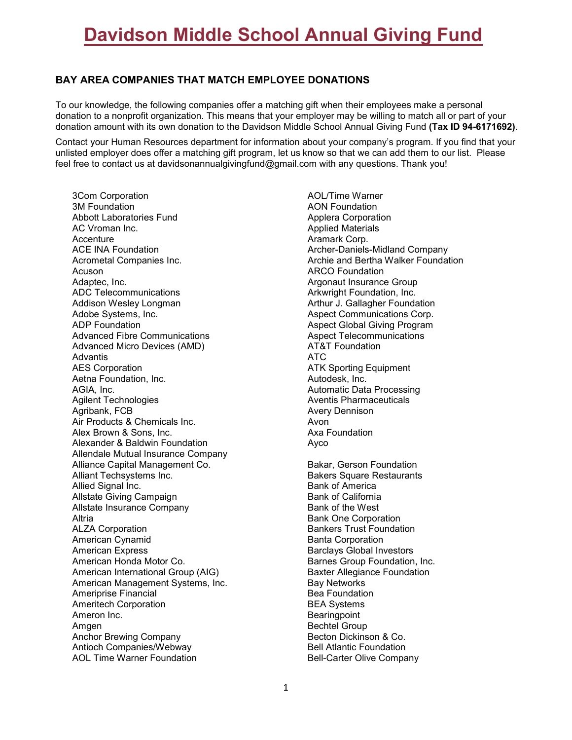# **Davidson Middle School Annual Giving Fund**

## **BAY AREA COMPANIES THAT MATCH EMPLOYEE DONATIONS**

To our knowledge, the following companies offer a matching gift when their employees make a personal donation to a nonprofit organization. This means that your employer may be willing to match all or part of your donation amount with its own donation to the Davidson Middle School Annual Giving Fund **(Tax ID 94-6171692)**.

Contact your Human Resources department for information about your company's program. If you find that your unlisted employer does offer a matching gift program, let us know so that we can add them to our list. Please feel free to contact us at davidsonannualgivingfund@gmail.com with any questions. Thank you!

3Com Corporation 3M Foundation Abbott Laboratories Fund AC Vroman Inc. Accenture ACE INA Foundation Acrometal Companies Inc. Acuson Adaptec, Inc. ADC Telecommunications Addison Wesley Longman Adobe Systems, Inc. ADP Foundation Advanced Fibre Communications Advanced Micro Devices (AMD) **Advantis** AES Corporation Aetna Foundation, Inc. AGIA, Inc. Agilent Technologies Agribank, FCB Air Products & Chemicals Inc. Alex Brown & Sons, Inc. Alexander & Baldwin Foundation Allendale Mutual Insurance Company Alliance Capital Management Co. Alliant Techsystems Inc. Allied Signal Inc. Allstate Giving Campaign Allstate Insurance Company **Altria** ALZA Corporation American Cynamid American Express American Honda Motor Co. American International Group (AIG) American Management Systems, Inc. Ameriprise Financial Ameritech Corporation Ameron Inc. Amgen Anchor Brewing Company Antioch Companies/Webway AOL Time Warner Foundation

AOL/Time Warner AON Foundation Applera Corporation Applied Materials Aramark Corp. Archer-Daniels-Midland Company Archie and Bertha Walker Foundation ARCO Foundation Argonaut Insurance Group Arkwright Foundation, Inc. Arthur J. Gallagher Foundation Aspect Communications Corp. Aspect Global Giving Program Aspect Telecommunications AT&T Foundation ATC ATK Sporting Equipment Autodesk, Inc. Automatic Data Processing Aventis Pharmaceuticals Avery Dennison Avon Axa Foundation Ayco Bakar, Gerson Foundation Bakers Square Restaurants Bank of America Bank of California Bank of the West Bank One Corporation Bankers Trust Foundation Banta Corporation Barclays Global Investors Barnes Group Foundation, Inc. Baxter Allegiance Foundation Bay Networks Bea Foundation BEA Systems **Bearingpoint** Bechtel Group Becton Dickinson & Co. Bell Atlantic Foundation Bell-Carter Olive Company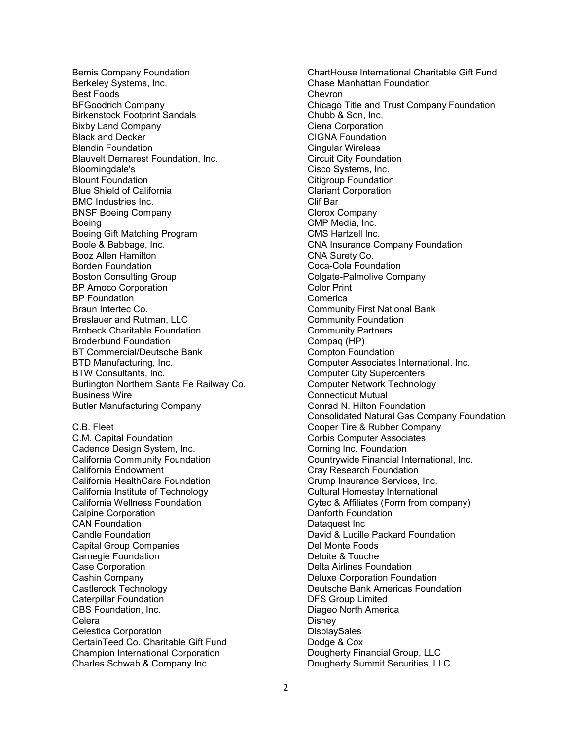Bemis Company Foundation Berkeley Systems, Inc. Best Foods BFGoodrich Company Birkenstock Footprint Sandals Bixby Land Company Black and Decker Blandin Foundation Blauvelt Demarest Foundation, Inc. Bloomingdale's Blount Foundation Blue Shield of California BMC Industries Inc. BNSF Boeing Company Boeing Boeing Gift Matching Program Boole & Babbage, Inc. Booz Allen Hamilton Borden Foundation Boston Consulting Group BP Amoco Corporation **BP** Foundation Braun Intertec Co. Breslauer and Rutman, LLC Brobeck Charitable Foundation Broderbund Foundation BT Commercial/Deutsche Bank BTD Manufacturing, Inc. BTW Consultants, Inc. Burlington Northern Santa Fe Railway Co. Business Wire Butler Manufacturing Company C.B. Fleet C.M. Capital Foundation Cadence Design System, Inc. California Community Foundation California Endowment California HealthCare Foundation California Institute of Technology California Wellness Foundation Calpine Corporation CAN Foundation Candle Foundation Capital Group Companies Carnegie Foundation Case Corporation Cashin Company Castlerock Technology Caterpillar Foundation CBS Foundation, Inc. Celera Celestica Corporation CertainTeed Co. Charitable Gift Fund Champion International Corporation Charles Schwab & Company Inc.

ChartHouse International Charitable Gift Fund Chase Manhattan Foundation Chevron Chicago Title and Trust Company Foundation Chubb & Son, Inc. Ciena Corporation CIGNA Foundation Cingular Wireless Circuit City Foundation Cisco Systems, Inc. Citigroup Foundation Clariant Corporation Clif Bar Clorox Company CMP Media, Inc. CMS Hartzell Inc. CNA Insurance Company Foundation CNA Surety Co. Coca-Cola Foundation Colgate-Palmolive Company Color Print Comerica Community First National Bank Community Foundation Community Partners Compaq (HP) Compton Foundation Computer Associates International. Inc. Computer City Supercenters Computer Network Technology Connecticut Mutual Conrad N. Hilton Foundation Consolidated Natural Gas Company Foundation Cooper Tire & Rubber Company Corbis Computer Associates Corning Inc. Foundation Countrywide Financial International, Inc. Cray Research Foundation Crump Insurance Services, Inc. Cultural Homestay International Cytec & Affiliates (Form from company) Danforth Foundation Dataquest Inc David & Lucille Packard Foundation Del Monte Foods Deloite & Touche Delta Airlines Foundation Deluxe Corporation Foundation Deutsche Bank Americas Foundation DFS Group Limited Diageo North America Disney **DisplaySales** Dodge & Cox Dougherty Financial Group, LLC Dougherty Summit Securities, LLC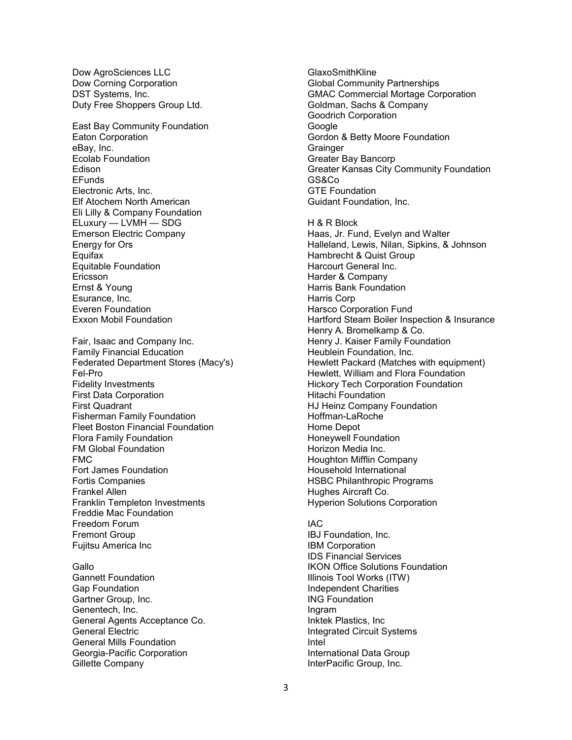Dow AgroSciences LLC Dow Corning Corporation DST Systems, Inc. Duty Free Shoppers Group Ltd.

East Bay Community Foundation Eaton Corporation eBay, Inc. Ecolab Foundation Edison EFunds Electronic Arts, Inc. Elf Atochem North American Eli Lilly & Company Foundation ELuxury — LVMH — SDG Emerson Electric Company Energy for Ors **Equifax** Equitable Foundation Ericsson Ernst & Young Esurance, Inc. Everen Foundation Exxon Mobil Foundation

Fair, Isaac and Company Inc. Family Financial Education Federated Department Stores (Macy's) Fel-Pro Fidelity Investments First Data Corporation First Quadrant Fisherman Family Foundation Fleet Boston Financial Foundation Flora Family Foundation FM Global Foundation FMC Fort James Foundation Fortis Companies Frankel Allen Franklin Templeton Investments Freddie Mac Foundation Freedom Forum Fremont Group Fujitsu America Inc

#### **Gallo**

Gannett Foundation Gap Foundation Gartner Group, Inc. Genentech, Inc. General Agents Acceptance Co. General Electric General Mills Foundation Georgia-Pacific Corporation Gillette Company

GlaxoSmithKline Global Community Partnerships GMAC Commercial Mortage Corporation Goldman, Sachs & Company Goodrich Corporation **Google** Gordon & Betty Moore Foundation **Grainger** Greater Bay Bancorp Greater Kansas City Community Foundation GS&Co GTE Foundation Guidant Foundation, Inc. H & R Block Haas, Jr. Fund, Evelyn and Walter Halleland, Lewis, Nilan, Sipkins, & Johnson Hambrecht & Quist Group Harcourt General Inc. Harder & Company Harris Bank Foundation Harris Corp Harsco Corporation Fund Hartford Steam Boiler Inspection & Insurance Henry A. Bromelkamp & Co. Henry J. Kaiser Family Foundation Heublein Foundation, Inc. Hewlett Packard (Matches with equipment) Hewlett, William and Flora Foundation Hickory Tech Corporation Foundation Hitachi Foundation HJ Heinz Company Foundation Hoffman-LaRoche Home Depot Honeywell Foundation Horizon Media Inc. Houghton Mifflin Company Household International HSBC Philanthropic Programs

#### IAC

Hughes Aircraft Co.

IBJ Foundation, Inc. IBM Corporation IDS Financial Services IKON Office Solutions Foundation Illinois Tool Works (ITW) Independent Charities ING Foundation Ingram Inktek Plastics, Inc Integrated Circuit Systems Intel International Data Group InterPacific Group, Inc.

Hyperion Solutions Corporation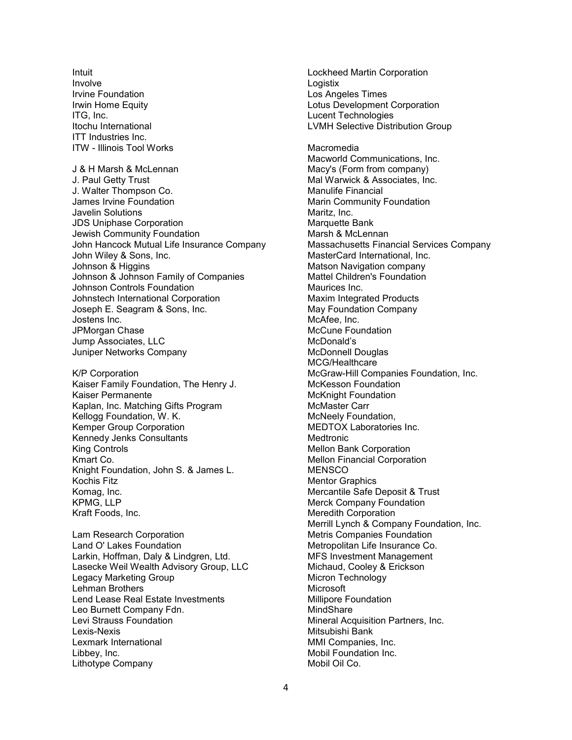Intuit Involve Irvine Foundation Irwin Home Equity ITG, Inc. Itochu International ITT Industries Inc. ITW - Illinois Tool Works

J & H Marsh & McLennan J. Paul Getty Trust J. Walter Thompson Co. James Irvine Foundation Javelin Solutions JDS Uniphase Corporation Jewish Community Foundation John Hancock Mutual Life Insurance Company John Wiley & Sons, Inc. Johnson & Higgins Johnson & Johnson Family of Companies Johnson Controls Foundation Johnstech International Corporation Joseph E. Seagram & Sons, Inc. Jostens Inc. JPMorgan Chase Jump Associates, LLC Juniper Networks Company

K/P Corporation Kaiser Family Foundation, The Henry J. Kaiser Permanente Kaplan, Inc. Matching Gifts Program Kellogg Foundation, W. K. Kemper Group Corporation Kennedy Jenks Consultants King Controls Kmart Co. Knight Foundation, John S. & James L. Kochis Fitz Komag, Inc. KPMG, LLP Kraft Foods, Inc.

Lam Research Corporation Land O' Lakes Foundation Larkin, Hoffman, Daly & Lindgren, Ltd. Lasecke Weil Wealth Advisory Group, LLC Legacy Marketing Group Lehman Brothers Lend Lease Real Estate Investments Leo Burnett Company Fdn. Levi Strauss Foundation Lexis-Nexis Lexmark International Libbey, Inc. Lithotype Company

Lockheed Martin Corporation **Logistix** Los Angeles Times Lotus Development Corporation Lucent Technologies LVMH Selective Distribution Group Macromedia Macworld Communications, Inc. Macy's (Form from company) Mal Warwick & Associates, Inc. Manulife Financial Marin Community Foundation Maritz, Inc. Marquette Bank Marsh & McLennan Massachusetts Financial Services Company MasterCard International, Inc. Matson Navigation company Mattel Children's Foundation Maurices Inc. Maxim Integrated Products May Foundation Company McAfee, Inc. McCune Foundation McDonald's McDonnell Douglas MCG/Healthcare McGraw-Hill Companies Foundation, Inc. McKesson Foundation McKnight Foundation McMaster Carr McNeely Foundation, MEDTOX Laboratories Inc. Medtronic Mellon Bank Corporation Mellon Financial Corporation **MENSCO** Mentor Graphics Mercantile Safe Deposit & Trust Merck Company Foundation Meredith Corporation Merrill Lynch & Company Foundation, Inc. Metris Companies Foundation Metropolitan Life Insurance Co. MFS Investment Management Michaud, Cooley & Erickson Micron Technology Microsoft Millipore Foundation **MindShare** Mineral Acquisition Partners, Inc. Mitsubishi Bank MMI Companies, Inc. Mobil Foundation Inc. Mobil Oil Co.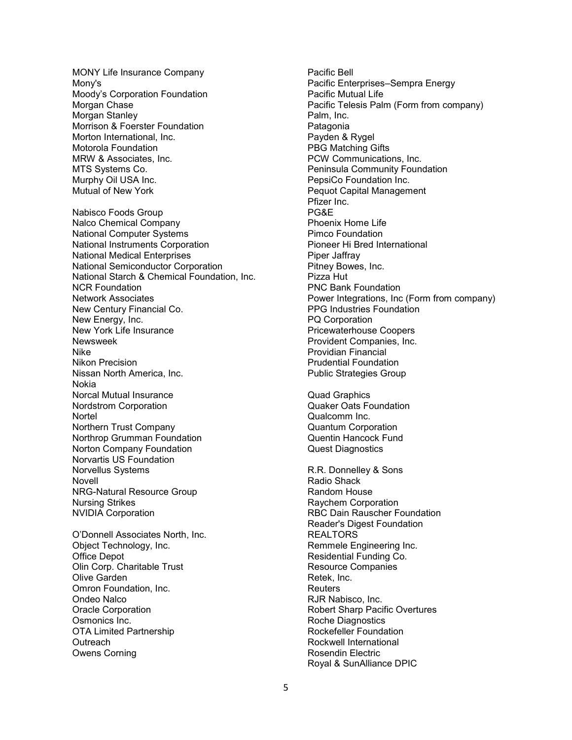MONY Life Insurance Company Mony's Moody's Corporation Foundation Morgan Chase Morgan Stanley Morrison & Foerster Foundation Morton International, Inc. Motorola Foundation MRW & Associates, Inc. MTS Systems Co. Murphy Oil USA Inc. Mutual of New York

Nabisco Foods Group Nalco Chemical Company National Computer Systems National Instruments Corporation National Medical Enterprises National Semiconductor Corporation National Starch & Chemical Foundation, Inc. NCR Foundation Network Associates New Century Financial Co. New Energy, Inc. New York Life Insurance Newsweek Nike Nikon Precision Nissan North America, Inc. Nokia Norcal Mutual Insurance Nordstrom Corporation **Nortel** Northern Trust Company Northrop Grumman Foundation Norton Company Foundation Norvartis US Foundation Norvellus Systems Novell NRG-Natural Resource Group Nursing Strikes NVIDIA Corporation

O'Donnell Associates North, Inc. Object Technology, Inc. Office Depot Olin Corp. Charitable Trust Olive Garden Omron Foundation, Inc. Ondeo Nalco Oracle Corporation Osmonics Inc. OTA Limited Partnership **Outreach** Owens Corning

Pacific Bell Pacific Enterprises–Sempra Energy Pacific Mutual Life Pacific Telesis Palm (Form from company) Palm, Inc. **Patagonia** Payden & Rygel PBG Matching Gifts PCW Communications, Inc. Peninsula Community Foundation PepsiCo Foundation Inc. Pequot Capital Management Pfizer Inc. PG&E Phoenix Home Life Pimco Foundation Pioneer Hi Bred International Piper Jaffray Pitney Bowes, Inc. Pizza Hut PNC Bank Foundation Power Integrations, Inc (Form from company) PPG Industries Foundation PQ Corporation Pricewaterhouse Coopers Provident Companies, Inc. Providian Financial Prudential Foundation Public Strategies Group

Quad Graphics Quaker Oats Foundation Qualcomm Inc. Quantum Corporation Quentin Hancock Fund Quest Diagnostics

R.R. Donnelley & Sons Radio Shack Random House Raychem Corporation RBC Dain Rauscher Foundation Reader's Digest Foundation REALTORS Remmele Engineering Inc. Residential Funding Co. Resource Companies Retek, Inc. **Reuters** RJR Nabisco, Inc. Robert Sharp Pacific Overtures Roche Diagnostics Rockefeller Foundation Rockwell International Rosendin Electric Royal & SunAlliance DPIC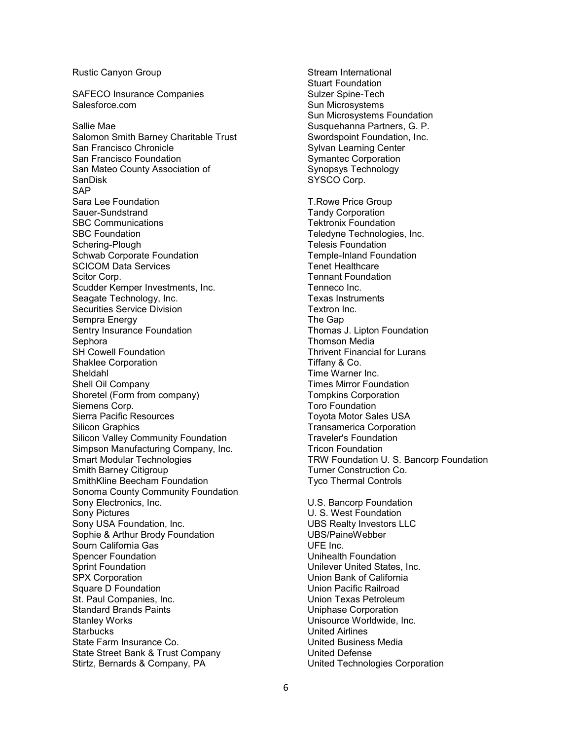### Rustic Canyon Group

SAFECO Insurance Companies Salesforce.com

Sallie Mae Salomon Smith Barney Charitable Trust San Francisco Chronicle San Francisco Foundation San Mateo County Association of SanDisk **SAP** Sara Lee Foundation Sauer-Sundstrand SBC Communications SBC Foundation Schering-Plough Schwab Corporate Foundation SCICOM Data Services Scitor Corp. Scudder Kemper Investments, Inc. Seagate Technology, Inc. Securities Service Division Sempra Energy Sentry Insurance Foundation **Sephora** SH Cowell Foundation Shaklee Corporation Sheldahl Shell Oil Company Shoretel (Form from company) Siemens Corp. Sierra Pacific Resources Silicon Graphics Silicon Valley Community Foundation Simpson Manufacturing Company, Inc. Smart Modular Technologies Smith Barney Citigroup SmithKline Beecham Foundation Sonoma County Community Foundation Sony Electronics, Inc. Sony Pictures Sony USA Foundation, Inc. Sophie & Arthur Brody Foundation Sourn California Gas Spencer Foundation Sprint Foundation SPX Corporation Square D Foundation St. Paul Companies, Inc. Standard Brands Paints Stanley Works **Starbucks** State Farm Insurance Co. State Street Bank & Trust Company Stirtz, Bernards & Company, PA

Stream International Stuart Foundation Sulzer Spine-Tech Sun Microsystems Sun Microsystems Foundation Susquehanna Partners, G. P. Swordspoint Foundation, Inc. Sylvan Learning Center Symantec Corporation Synopsys Technology SYSCO Corp. T.Rowe Price Group Tandy Corporation Tektronix Foundation Teledyne Technologies, Inc. Telesis Foundation Temple-Inland Foundation Tenet Healthcare Tennant Foundation Tenneco Inc. Texas Instruments Textron Inc. The Gap Thomas J. Lipton Foundation Thomson Media Thrivent Financial for Lurans Tiffany & Co. Time Warner Inc. Times Mirror Foundation Tompkins Corporation Toro Foundation Toyota Motor Sales USA Transamerica Corporation Traveler's Foundation Tricon Foundation TRW Foundation U. S. Bancorp Foundation Turner Construction Co. Tyco Thermal Controls U.S. Bancorp Foundation U. S. West Foundation

UBS Realty Investors LLC UBS/PaineWebber UFE Inc. Unihealth Foundation Unilever United States, Inc. Union Bank of California Union Pacific Railroad Union Texas Petroleum Uniphase Corporation Unisource Worldwide, Inc. United Airlines United Business Media United Defense United Technologies Corporation